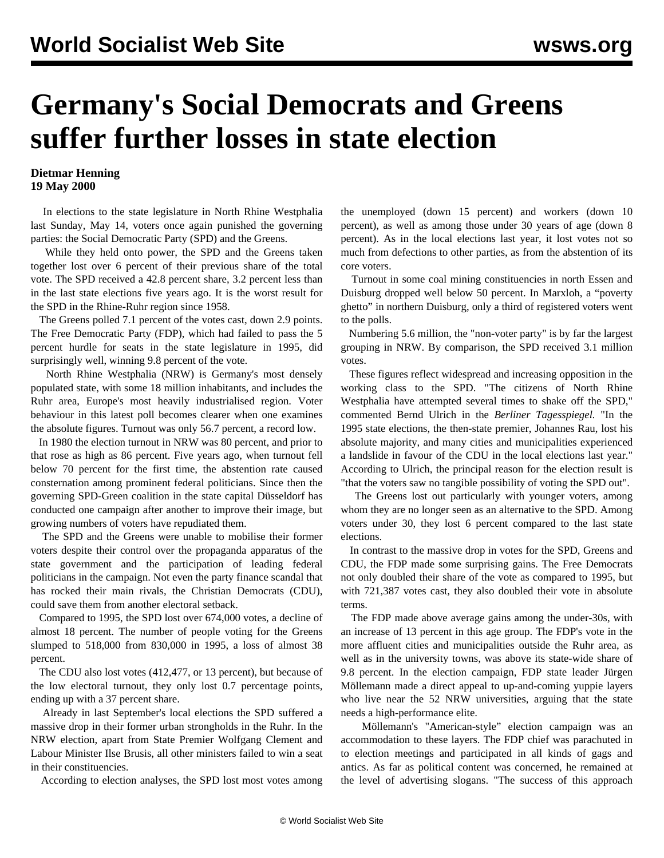## **Germany's Social Democrats and Greens suffer further losses in state election**

## **Dietmar Henning 19 May 2000**

 In elections to the state legislature in North Rhine Westphalia last Sunday, May 14, voters once again punished the governing parties: the Social Democratic Party (SPD) and the Greens.

 While they held onto power, the SPD and the Greens taken together lost over 6 percent of their previous share of the total vote. The SPD received a 42.8 percent share, 3.2 percent less than in the last state elections five years ago. It is the worst result for the SPD in the Rhine-Ruhr region since 1958.

 The Greens polled 7.1 percent of the votes cast, down 2.9 points. The Free Democratic Party (FDP), which had failed to pass the 5 percent hurdle for seats in the state legislature in 1995, did surprisingly well, winning 9.8 percent of the vote.

 North Rhine Westphalia (NRW) is Germany's most densely populated state, with some 18 million inhabitants, and includes the Ruhr area, Europe's most heavily industrialised region. Voter behaviour in this latest poll becomes clearer when one examines the absolute figures. Turnout was only 56.7 percent, a record low.

 In 1980 the election turnout in NRW was 80 percent, and prior to that rose as high as 86 percent. Five years ago, when turnout fell below 70 percent for the first time, the abstention rate caused consternation among prominent federal politicians. Since then the governing SPD-Green coalition in the state capital Düsseldorf has conducted one campaign after another to improve their image, but growing numbers of voters have repudiated them.

 The SPD and the Greens were unable to mobilise their former voters despite their control over the propaganda apparatus of the state government and the participation of leading federal politicians in the campaign. Not even the party finance scandal that has rocked their main rivals, the Christian Democrats (CDU), could save them from another electoral setback.

 Compared to 1995, the SPD lost over 674,000 votes, a decline of almost 18 percent. The number of people voting for the Greens slumped to 518,000 from 830,000 in 1995, a loss of almost 38 percent.

 The CDU also lost votes (412,477, or 13 percent), but because of the low electoral turnout, they only lost 0.7 percentage points, ending up with a 37 percent share.

 Already in last September's local elections the SPD suffered a massive drop in their former urban strongholds in the Ruhr. In the NRW election, apart from State Premier Wolfgang Clement and Labour Minister Ilse Brusis, all other ministers failed to win a seat in their constituencies.

According to election analyses, the SPD lost most votes among

the unemployed (down 15 percent) and workers (down 10 percent), as well as among those under 30 years of age (down 8 percent). As in the local elections last year, it lost votes not so much from defections to other parties, as from the abstention of its core voters.

 Turnout in some coal mining constituencies in north Essen and Duisburg dropped well below 50 percent. In Marxloh, a "poverty ghetto" in northern Duisburg, only a third of registered voters went to the polls.

 Numbering 5.6 million, the "non-voter party" is by far the largest grouping in NRW. By comparison, the SPD received 3.1 million votes.

 These figures reflect widespread and increasing opposition in the working class to the SPD. "The citizens of North Rhine Westphalia have attempted several times to shake off the SPD," commented Bernd Ulrich in the *Berliner Tagesspiegel.* "In the 1995 state elections, the then-state premier, Johannes Rau, lost his absolute majority, and many cities and municipalities experienced a landslide in favour of the CDU in the local elections last year." According to Ulrich, the principal reason for the election result is "that the voters saw no tangible possibility of voting the SPD out".

 The Greens lost out particularly with younger voters, among whom they are no longer seen as an alternative to the SPD. Among voters under 30, they lost 6 percent compared to the last state elections.

 In contrast to the massive drop in votes for the SPD, Greens and CDU, the FDP made some surprising gains. The Free Democrats not only doubled their share of the vote as compared to 1995, but with 721,387 votes cast, they also doubled their vote in absolute terms.

 The FDP made above average gains among the under-30s, with an increase of 13 percent in this age group. The FDP's vote in the more affluent cities and municipalities outside the Ruhr area, as well as in the university towns, was above its state-wide share of 9.8 percent. In the election campaign, FDP state leader Jürgen Möllemann made a direct appeal to up-and-coming yuppie layers who live near the 52 NRW universities, arguing that the state needs a high-performance elite.

 Möllemann's "American-style" election campaign was an accommodation to these layers. The FDP chief was parachuted in to election meetings and participated in all kinds of gags and antics. As far as political content was concerned, he remained at the level of advertising slogans. "The success of this approach